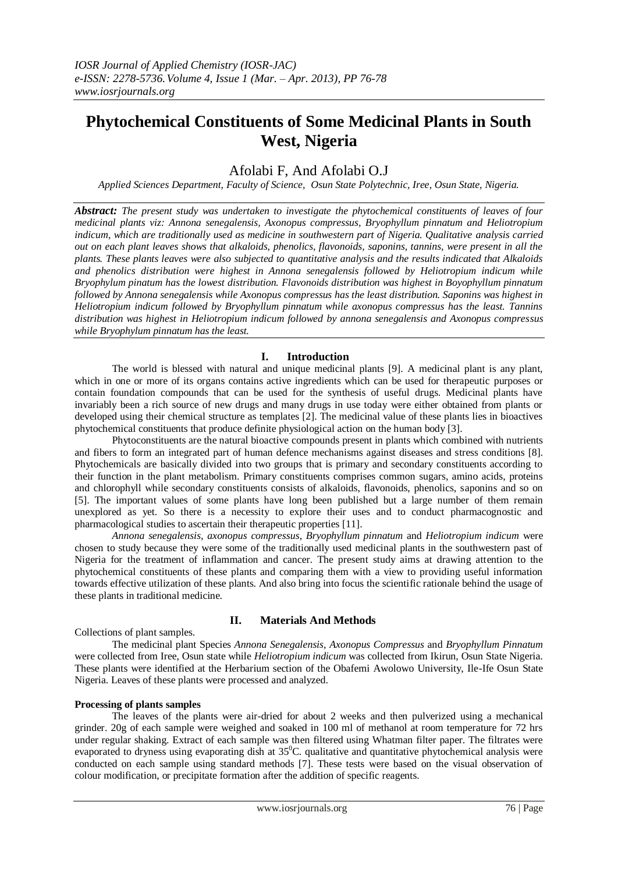# **Phytochemical Constituents of Some Medicinal Plants in South West, Nigeria**

# Afolabi F, And Afolabi O.J

*Applied Sciences Department, Faculty of Science, Osun State Polytechnic, Iree, Osun State, Nigeria.* 

*Abstract: The present study was undertaken to investigate the phytochemical constituents of leaves of four medicinal plants viz: Annona senegalensis, Axonopus compressus, Bryophyllum pinnatum and Heliotropium indicum, which are traditionally used as medicine in southwestern part of Nigeria. Qualitative analysis carried out on each plant leaves shows that alkaloids, phenolics, flavonoids, saponins, tannins, were present in all the plants. These plants leaves were also subjected to quantitative analysis and the results indicated that Alkaloids and phenolics distribution were highest in Annona senegalensis followed by Heliotropium indicum while Bryophylum pinatum has the lowest distribution. Flavonoids distribution was highest in Boyophyllum pinnatum followed by Annona senegalensis while Axonopus compressus has the least distribution. Saponins was highest in Heliotropium indicum followed by Bryophyllum pinnatum while axonopus compressus has the least. Tannins distribution was highest in Heliotropium indicum followed by annona senegalensis and Axonopus compressus while Bryophylum pinnatum has the least.* 

## **I. Introduction**

The world is blessed with natural and unique medicinal plants [9]. A medicinal plant is any plant, which in one or more of its organs contains active ingredients which can be used for therapeutic purposes or contain foundation compounds that can be used for the synthesis of useful drugs. Medicinal plants have invariably been a rich source of new drugs and many drugs in use today were either obtained from plants or developed using their chemical structure as templates [2]. The medicinal value of these plants lies in bioactives phytochemical constituents that produce definite physiological action on the human body [3].

Phytoconstituents are the natural bioactive compounds present in plants which combined with nutrients and fibers to form an integrated part of human defence mechanisms against diseases and stress conditions [8]. Phytochemicals are basically divided into two groups that is primary and secondary constituents according to their function in the plant metabolism. Primary constituents comprises common sugars, amino acids, proteins and chlorophyll while secondary constituents consists of alkaloids, flavonoids, phenolics, saponins and so on [5]. The important values of some plants have long been published but a large number of them remain unexplored as yet. So there is a necessity to explore their uses and to conduct pharmacognostic and pharmacological studies to ascertain their therapeutic properties [11].

*Annona senegalensis, axonopus compressus, Bryophyllum pinnatum* and *Heliotropium indicum* were chosen to study because they were some of the traditionally used medicinal plants in the southwestern past of Nigeria for the treatment of inflammation and cancer. The present study aims at drawing attention to the phytochemical constituents of these plants and comparing them with a view to providing useful information towards effective utilization of these plants. And also bring into focus the scientific rationale behind the usage of these plants in traditional medicine.

## **II. Materials And Methods**

Collections of plant samples.

The medicinal plant Species *Annona Senegalensis, Axonopus Compressus* and *Bryophyllum Pinnatum* were collected from Iree, Osun state while *Heliotropium indicum* was collected from Ikirun, Osun State Nigeria. These plants were identified at the Herbarium section of the Obafemi Awolowo University, Ile-Ife Osun State Nigeria. Leaves of these plants were processed and analyzed.

### **Processing of plants samples**

The leaves of the plants were air-dried for about 2 weeks and then pulverized using a mechanical grinder. 20g of each sample were weighed and soaked in 100 ml of methanol at room temperature for 72 hrs under regular shaking. Extract of each sample was then filtered using Whatman filter paper. The filtrates were evaporated to dryness using evaporating dish at 35<sup>0</sup>C. qualitative and quantitative phytochemical analysis were conducted on each sample using standard methods [7]. These tests were based on the visual observation of colour modification, or precipitate formation after the addition of specific reagents.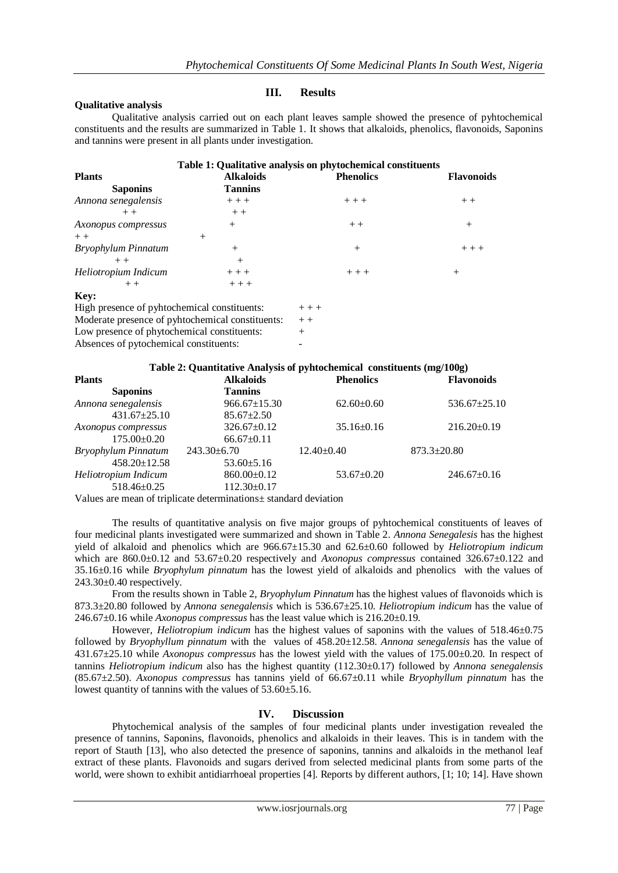### **Qualitative analysis**

### **III. Results**

Qualitative analysis carried out on each plant leaves sample showed the presence of pyhtochemical constituents and the results are summarized in Table 1. It shows that alkaloids, phenolics, flavonoids, Saponins and tannins were present in all plants under investigation.

# **Table 1: Qualitative analysis on phytochemical constituents Plants Alkaloids Phenolics Flavonoids Saponins Tannins** *Annona senegalensis*  $++++$   $+++$   $+++$   $++$  $++$  + +  $++$ Axonopus compressus  $+$  $+$  +  $+$ *Bryophylum Pinnatum* + + + + +  $++$  +  $+$ *Heliotropium Indicum*  $++$  + +  $++$  + + + + + + + + **Key:** High presence of pyhtochemical constituents:  $+ + +$

| High presence of pyhtochemical constituents:     | $++$  |
|--------------------------------------------------|-------|
| Moderate presence of pyhtochemical constituents: | $+ +$ |
| Low presence of phytochemical constituents:      | $+$   |
| Absences of pytochemical constituents:           |       |
|                                                  |       |

### **Table 2: Quantitative Analysis of pyhtochemical constituents (mg/100g)**

| <b>Plants</b>        | <b>Alkaloids</b>   | <b>Phenolics</b> | <b>Flavonoids</b>  |
|----------------------|--------------------|------------------|--------------------|
| <b>Saponins</b>      | <b>Tannins</b>     |                  |                    |
| Annona senegalensis  | $966.67 \pm 15.30$ | $62.60 \pm 0.60$ | $536.67 \pm 25.10$ |
| $431.67 \pm 25.10$   | $85.67 \pm 2.50$   |                  |                    |
| Axonopus compressus  | $326.67 \pm 0.12$  | $35.16 \pm 0.16$ | $216.20 \pm 0.19$  |
| $175.00 \pm 0.20$    | $66.67 \pm 0.11$   |                  |                    |
| Bryophylum Pinnatum  | $243.30 \pm 6.70$  | $12.40 \pm 0.40$ | $873.3 \pm 20.80$  |
| $458.20 \pm 12.58$   | $53.60 \pm 5.16$   |                  |                    |
| Heliotropium Indicum | $860.00 \pm 0.12$  | $53.67 \pm 0.20$ | $246.67 \pm 0.16$  |
| $518.46 \pm 0.25$    | $112.30\pm0.17$    |                  |                    |

Values are mean of triplicate determinations± standard deviation

The results of quantitative analysis on five major groups of pyhtochemical constituents of leaves of four medicinal plants investigated were summarized and shown in Table 2*. Annona Senegalesis* has the highest yield of alkaloid and phenolics which are 966.67±15.30 and 62.6±0.60 followed by *Heliotropium indicum* which are 860.0±0.12 and 53.67±0.20 respectively and *Axonopus compressus* contained 326.67±0.122 and 35.16±0.16 while *Bryophylum pinnatum* has the lowest yield of alkaloids and phenolics with the values of  $243.30\pm0.40$  respectively.

From the results shown in Table 2, *Bryophylum Pinnatum* has the highest values of flavonoids which is 873.3±20.80 followed by *Annona senegalensis* which is 536.67±25.10. *Heliotropium indicum* has the value of 246.67±0.16 while *Axonopus compressus* has the least value which is 216.20±0.19.

However, *Heliotropium indicum* has the highest values of saponins with the values of 518.46±0.75 followed by *Bryophyllum pinnatum* with the values of 458.20±12.58. *Annona senegalensis* has the value of 431.67±25.10 while *Axonopus compressus* has the lowest yield with the values of 175.00±0.20. In respect of tannins *Heliotropium indicum* also has the highest quantity (112.30±0.17) followed by *Annona senegalensis* (85.67±2.50). *Axonopus compressus* has tannins yield of 66.67±0.11 while *Bryophyllum pinnatum* has the lowest quantity of tannins with the values of 53.60±5.16.

### **IV. Discussion**

Phytochemical analysis of the samples of four medicinal plants under investigation revealed the presence of tannins, Saponins, flavonoids, phenolics and alkaloids in their leaves. This is in tandem with the report of Stauth [13], who also detected the presence of saponins, tannins and alkaloids in the methanol leaf extract of these plants. Flavonoids and sugars derived from selected medicinal plants from some parts of the world, were shown to exhibit antidiarrhoeal properties [4]. Reports by different authors, [1; 10; 14]. Have shown